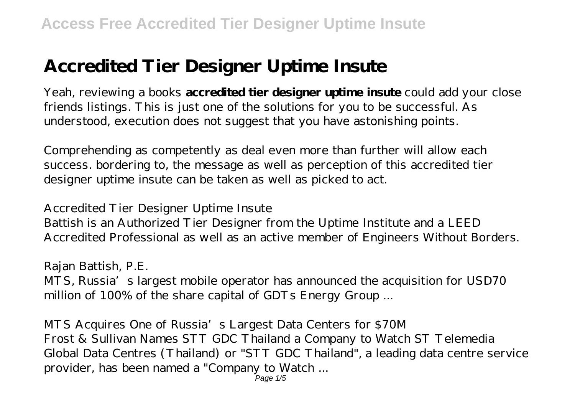# **Accredited Tier Designer Uptime Insute**

Yeah, reviewing a books **accredited tier designer uptime insute** could add your close friends listings. This is just one of the solutions for you to be successful. As understood, execution does not suggest that you have astonishing points.

Comprehending as competently as deal even more than further will allow each success. bordering to, the message as well as perception of this accredited tier designer uptime insute can be taken as well as picked to act.

#### *Accredited Tier Designer Uptime Insute*

Battish is an Authorized Tier Designer from the Uptime Institute and a LEED Accredited Professional as well as an active member of Engineers Without Borders.

#### *Rajan Battish, P.E.*

MTS, Russia's largest mobile operator has announced the acquisition for USD70 million of 100% of the share capital of GDTs Energy Group ...

*MTS Acquires One of Russia's Largest Data Centers for \$70M* Frost & Sullivan Names STT GDC Thailand a Company to Watch ST Telemedia Global Data Centres (Thailand) or "STT GDC Thailand", a leading data centre service provider, has been named a "Company to Watch ...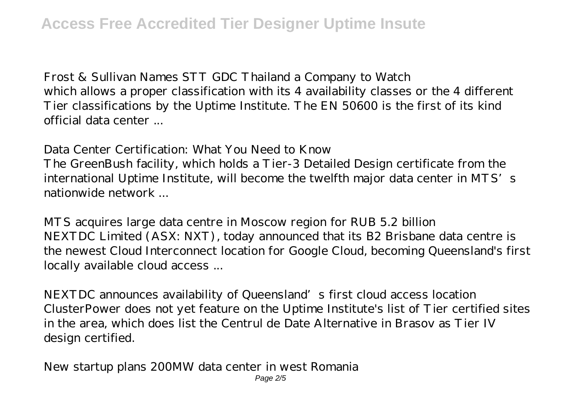*Frost & Sullivan Names STT GDC Thailand a Company to Watch* which allows a proper classification with its 4 availability classes or the 4 different Tier classifications by the Uptime Institute. The EN 50600 is the first of its kind official data center ...

#### *Data Center Certification: What You Need to Know*

The GreenBush facility, which holds a Tier-3 Detailed Design certificate from the international Uptime Institute, will become the twelfth major data center in MTS's nationwide network ...

*MTS acquires large data centre in Moscow region for RUB 5.2 billion* NEXTDC Limited (ASX: NXT), today announced that its B2 Brisbane data centre is the newest Cloud Interconnect location for Google Cloud, becoming Queensland's first locally available cloud access ...

*NEXTDC announces availability of Queensland's first cloud access location* ClusterPower does not yet feature on the Uptime Institute's list of Tier certified sites in the area, which does list the Centrul de Date Alternative in Brasov as Tier IV design certified.

*New startup plans 200MW data center in west Romania* Page 2/5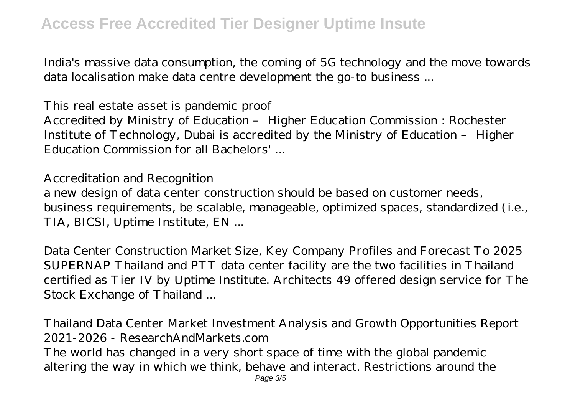India's massive data consumption, the coming of 5G technology and the move towards data localisation make data centre development the go-to business ...

#### *This real estate asset is pandemic proof*

Accredited by Ministry of Education – Higher Education Commission : Rochester Institute of Technology, Dubai is accredited by the Ministry of Education – Higher Education Commission for all Bachelors' ...

#### *Accreditation and Recognition*

a new design of data center construction should be based on customer needs, business requirements, be scalable, manageable, optimized spaces, standardized (i.e., TIA, BICSI, Uptime Institute, EN ...

*Data Center Construction Market Size, Key Company Profiles and Forecast To 2025* SUPERNAP Thailand and PTT data center facility are the two facilities in Thailand certified as Tier IV by Uptime Institute. Architects 49 offered design service for The Stock Exchange of Thailand ...

### *Thailand Data Center Market Investment Analysis and Growth Opportunities Report 2021-2026 - ResearchAndMarkets.com*

The world has changed in a very short space of time with the global pandemic altering the way in which we think, behave and interact. Restrictions around the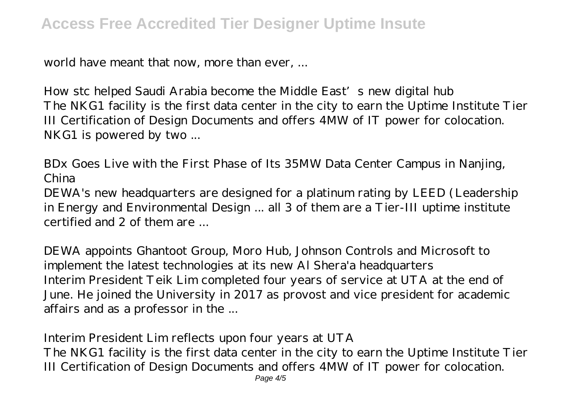world have meant that now, more than ever, ...

*How stc helped Saudi Arabia become the Middle East's new digital hub* The NKG1 facility is the first data center in the city to earn the Uptime Institute Tier III Certification of Design Documents and offers 4MW of IT power for colocation. NKG1 is powered by two ...

*BDx Goes Live with the First Phase of Its 35MW Data Center Campus in Nanjing, China*

DEWA's new headquarters are designed for a platinum rating by LEED (Leadership in Energy and Environmental Design ... all 3 of them are a Tier-III uptime institute certified and 2 of them are ...

*DEWA appoints Ghantoot Group, Moro Hub, Johnson Controls and Microsoft to implement the latest technologies at its new Al Shera'a headquarters* Interim President Teik Lim completed four years of service at UTA at the end of June. He joined the University in 2017 as provost and vice president for academic affairs and as a professor in the ...

## *Interim President Lim reflects upon four years at UTA*

The NKG1 facility is the first data center in the city to earn the Uptime Institute Tier III Certification of Design Documents and offers 4MW of IT power for colocation.